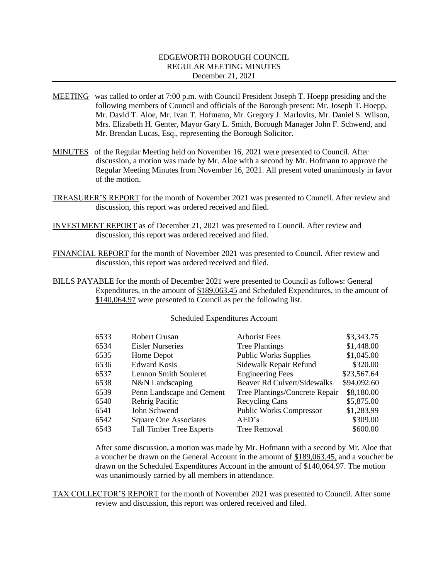# EDGEWORTH BOROUGH COUNCIL REGULAR MEETING MINUTES December 21, 2021

- MEETING was called to order at 7:00 p.m. with Council President Joseph T. Hoepp presiding and the following members of Council and officials of the Borough present: Mr. Joseph T. Hoepp, Mr. David T. Aloe, Mr. Ivan T. Hofmann, Mr. Gregory J. Marlovits, Mr. Daniel S. Wilson, Mrs. Elizabeth H. Genter, Mayor Gary L. Smith, Borough Manager John F. Schwend, and Mr. Brendan Lucas, Esq., representing the Borough Solicitor.
- MINUTES of the Regular Meeting held on November 16, 2021 were presented to Council. After discussion, a motion was made by Mr. Aloe with a second by Mr. Hofmann to approve the Regular Meeting Minutes from November 16, 2021. All present voted unanimously in favor of the motion.
- TREASURER'S REPORT for the month of November 2021 was presented to Council. After review and discussion, this report was ordered received and filed.
- INVESTMENT REPORT as of December 21, 2021 was presented to Council. After review and discussion, this report was ordered received and filed.
- FINANCIAL REPORT for the month of November 2021 was presented to Council. After review and discussion, this report was ordered received and filed.
- BILLS PAYABLE for the month of December 2021 were presented to Council as follows: General Expenditures, in the amount of \$189,063.45 and Scheduled Expenditures, in the amount of \$140,064.97 were presented to Council as per the following list.

#### Scheduled Expenditures Account

| 6533 | <b>Robert Crusan</b>            | <b>Arborist Fees</b>               | \$3,343.75  |
|------|---------------------------------|------------------------------------|-------------|
| 6534 | <b>Eisler Nurseries</b>         | <b>Tree Plantings</b>              | \$1,448.00  |
| 6535 | Home Depot                      | <b>Public Works Supplies</b>       | \$1,045.00  |
| 6536 | <b>Edward Kosis</b>             | Sidewalk Repair Refund             | \$320.00    |
| 6537 | <b>Lennon Smith Souleret</b>    | <b>Engineering Fees</b>            | \$23,567.64 |
| 6538 | N&N Landscaping                 | <b>Beaver Rd Culvert/Sidewalks</b> | \$94,092.60 |
| 6539 | Penn Landscape and Cement       | Tree Plantings/Concrete Repair     | \$8,180.00  |
| 6540 | Rehrig Pacific                  | <b>Recycling Cans</b>              | \$5,875.00  |
| 6541 | John Schwend                    | <b>Public Works Compressor</b>     | \$1,283.99  |
| 6542 | <b>Square One Associates</b>    | AED's                              | \$309.00    |
| 6543 | <b>Tall Timber Tree Experts</b> | <b>Tree Removal</b>                | \$600.00    |
|      |                                 |                                    |             |

After some discussion, a motion was made by Mr. Hofmann with a second by Mr. Aloe that a voucher be drawn on the General Account in the amount of \$189,063.45, and a voucher be drawn on the Scheduled Expenditures Account in the amount of \$140,064.97. The motion was unanimously carried by all members in attendance.

TAX COLLECTOR'S REPORT for the month of November 2021 was presented to Council. After some review and discussion, this report was ordered received and filed.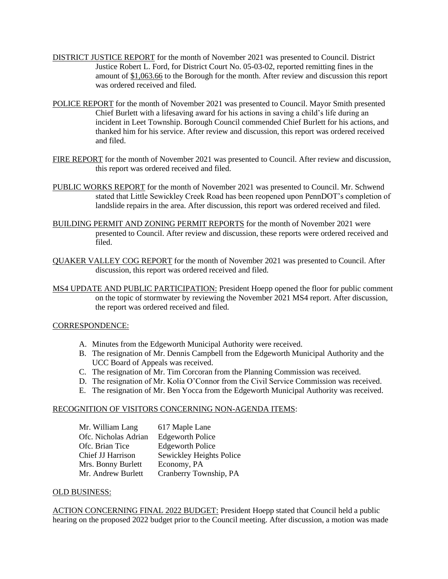- DISTRICT JUSTICE REPORT for the month of November 2021 was presented to Council. District Justice Robert L. Ford, for District Court No. 05-03-02, reported remitting fines in the amount of \$1,063.66 to the Borough for the month. After review and discussion this report was ordered received and filed.
- POLICE REPORT for the month of November 2021 was presented to Council. Mayor Smith presented Chief Burlett with a lifesaving award for his actions in saving a child's life during an incident in Leet Township. Borough Council commended Chief Burlett for his actions, and thanked him for his service. After review and discussion, this report was ordered received and filed.
- FIRE REPORT for the month of November 2021 was presented to Council. After review and discussion, this report was ordered received and filed.
- PUBLIC WORKS REPORT for the month of November 2021 was presented to Council. Mr. Schwend stated that Little Sewickley Creek Road has been reopened upon PennDOT's completion of landslide repairs in the area. After discussion, this report was ordered received and filed.
- BUILDING PERMIT AND ZONING PERMIT REPORTS for the month of November 2021 were presented to Council. After review and discussion, these reports were ordered received and filed.
- QUAKER VALLEY COG REPORT for the month of November 2021 was presented to Council. After discussion, this report was ordered received and filed.
- MS4 UPDATE AND PUBLIC PARTICIPATION: President Hoepp opened the floor for public comment on the topic of stormwater by reviewing the November 2021 MS4 report. After discussion, the report was ordered received and filed.

# CORRESPONDENCE:

- A. Minutes from the Edgeworth Municipal Authority were received.
- B. The resignation of Mr. Dennis Campbell from the Edgeworth Municipal Authority and the UCC Board of Appeals was received.
- C. The resignation of Mr. Tim Corcoran from the Planning Commission was received.
- D. The resignation of Mr. Kolia O'Connor from the Civil Service Commission was received.
- E. The resignation of Mr. Ben Yocca from the Edgeworth Municipal Authority was received.

#### RECOGNITION OF VISITORS CONCERNING NON-AGENDA ITEMS:

| Mr. William Lang     | 617 Maple Lane           |
|----------------------|--------------------------|
| Ofc. Nicholas Adrian | <b>Edgeworth Police</b>  |
| Ofc. Brian Tice      | <b>Edgeworth Police</b>  |
| Chief JJ Harrison    | Sewickley Heights Police |
| Mrs. Bonny Burlett   | Economy, PA              |
| Mr. Andrew Burlett   | Cranberry Township, PA   |

#### OLD BUSINESS:

ACTION CONCERNING FINAL 2022 BUDGET: President Hoepp stated that Council held a public hearing on the proposed 2022 budget prior to the Council meeting. After discussion, a motion was made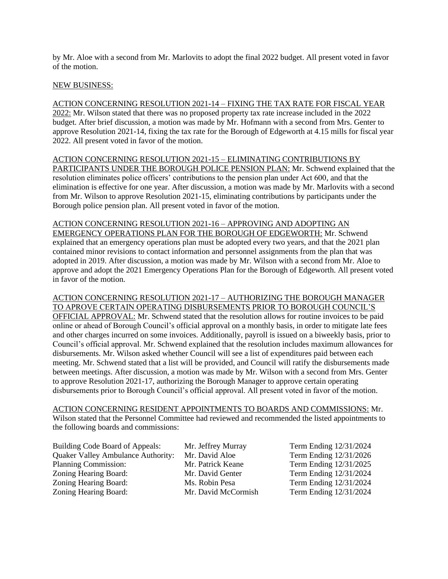by Mr. Aloe with a second from Mr. Marlovits to adopt the final 2022 budget. All present voted in favor of the motion.

# NEW BUSINESS:

ACTION CONCERNING RESOLUTION 2021-14 – FIXING THE TAX RATE FOR FISCAL YEAR 2022: Mr. Wilson stated that there was no proposed property tax rate increase included in the 2022 budget. After brief discussion, a motion was made by Mr. Hofmann with a second from Mrs. Genter to approve Resolution 2021-14, fixing the tax rate for the Borough of Edgeworth at 4.15 mills for fiscal year 2022. All present voted in favor of the motion.

ACTION CONCERNING RESOLUTION 2021-15 – ELIMINATING CONTRIBUTIONS BY PARTICIPANTS UNDER THE BOROUGH POLICE PENSION PLAN: Mr. Schwend explained that the resolution eliminates police officers' contributions to the pension plan under Act 600, and that the elimination is effective for one year. After discussion, a motion was made by Mr. Marlovits with a second from Mr. Wilson to approve Resolution 2021-15, eliminating contributions by participants under the Borough police pension plan. All present voted in favor of the motion.

ACTION CONCERNING RESOLUTION 2021-16 – APPROVING AND ADOPTING AN EMERGENCY OPERATIONS PLAN FOR THE BOROUGH OF EDGEWORTH: Mr. Schwend explained that an emergency operations plan must be adopted every two years, and that the 2021 plan contained minor revisions to contact information and personnel assignments from the plan that was adopted in 2019. After discussion, a motion was made by Mr. Wilson with a second from Mr. Aloe to approve and adopt the 2021 Emergency Operations Plan for the Borough of Edgeworth. All present voted in favor of the motion.

ACTION CONCERNING RESOLUTION 2021-17 – AUTHORIZING THE BOROUGH MANAGER TO APROVE CERTAIN OPERATING DISBURSEMENTS PRIOR TO BOROUGH COUNCIL'S OFFICIAL APPROVAL: Mr. Schwend stated that the resolution allows for routine invoices to be paid online or ahead of Borough Council's official approval on a monthly basis, in order to mitigate late fees and other charges incurred on some invoices. Additionally, payroll is issued on a biweekly basis, prior to Council's official approval. Mr. Schwend explained that the resolution includes maximum allowances for disbursements. Mr. Wilson asked whether Council will see a list of expenditures paid between each meeting. Mr. Schwend stated that a list will be provided, and Council will ratify the disbursements made between meetings. After discussion, a motion was made by Mr. Wilson with a second from Mrs. Genter to approve Resolution 2021-17, authorizing the Borough Manager to approve certain operating disbursements prior to Borough Council's official approval. All present voted in favor of the motion.

ACTION CONCERNING RESIDENT APPOINTMENTS TO BOARDS AND COMMISSIONS: Mr. Wilson stated that the Personnel Committee had reviewed and recommended the listed appointments to

the following boards and commissions:

Building Code Board of Appeals: Mr. Jeffrey Murray Term Ending 12/31/2024 Quaker Valley Ambulance Authority: Mr. David Aloe Term Ending 12/31/2026 Planning Commission: Mr. Patrick Keane Term Ending 12/31/2025 Zoning Hearing Board: Mr. David Genter Term Ending 12/31/2024 Zoning Hearing Board: Ms. Robin Pesa Term Ending 12/31/2024 Zoning Hearing Board: Mr. David McCormish Term Ending 12/31/2024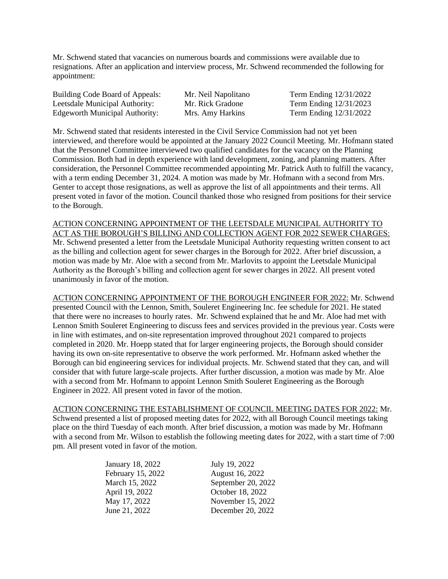Mr. Schwend stated that vacancies on numerous boards and commissions were available due to resignations. After an application and interview process, Mr. Schwend recommended the following for appointment:

| Building Code Board of Appeals: | Mr. Neil Napolitano | Term Ending 12/31/2022 |
|---------------------------------|---------------------|------------------------|
| Leetsdale Municipal Authority:  | Mr. Rick Gradone    | Term Ending 12/31/2023 |
| Edgeworth Municipal Authority:  | Mrs. Amy Harkins    | Term Ending 12/31/2022 |

Mr. Schwend stated that residents interested in the Civil Service Commission had not yet been interviewed, and therefore would be appointed at the January 2022 Council Meeting. Mr. Hofmann stated that the Personnel Committee interviewed two qualified candidates for the vacancy on the Planning Commission. Both had in depth experience with land development, zoning, and planning matters. After consideration, the Personnel Committee recommended appointing Mr. Patrick Auth to fulfill the vacancy, with a term ending December 31, 2024. A motion was made by Mr. Hofmann with a second from Mrs. Genter to accept those resignations, as well as approve the list of all appointments and their terms. All present voted in favor of the motion. Council thanked those who resigned from positions for their service to the Borough.

ACTION CONCERNING APPOINTMENT OF THE LEETSDALE MUNICIPAL AUTHORITY TO ACT AS THE BOROUGH'S BILLING AND COLLECTION AGENT FOR 2022 SEWER CHARGES: Mr. Schwend presented a letter from the Leetsdale Municipal Authority requesting written consent to act as the billing and collection agent for sewer charges in the Borough for 2022. After brief discussion, a motion was made by Mr. Aloe with a second from Mr. Marlovits to appoint the Leetsdale Municipal Authority as the Borough's billing and collection agent for sewer charges in 2022. All present voted unanimously in favor of the motion.

ACTION CONCERNING APPOINTMENT OF THE BOROUGH ENGINEER FOR 2022: Mr. Schwend presented Council with the Lennon, Smith, Souleret Engineering Inc. fee schedule for 2021. He stated that there were no increases to hourly rates. Mr. Schwend explained that he and Mr. Aloe had met with Lennon Smith Souleret Engineering to discuss fees and services provided in the previous year. Costs were in line with estimates, and on-site representation improved throughout 2021 compared to projects completed in 2020. Mr. Hoepp stated that for larger engineering projects, the Borough should consider having its own on-site representative to observe the work performed. Mr. Hofmann asked whether the Borough can bid engineering services for individual projects. Mr. Schwend stated that they can, and will consider that with future large-scale projects. After further discussion, a motion was made by Mr. Aloe with a second from Mr. Hofmann to appoint Lennon Smith Souleret Engineering as the Borough Engineer in 2022. All present voted in favor of the motion.

ACTION CONCERNING THE ESTABLISHMENT OF COUNCIL MEETING DATES FOR 2022: Mr. Schwend presented a list of proposed meeting dates for 2022, with all Borough Council meetings taking place on the third Tuesday of each month. After brief discussion, a motion was made by Mr. Hofmann with a second from Mr. Wilson to establish the following meeting dates for 2022, with a start time of 7:00 pm. All present voted in favor of the motion.

| January 18, 2022  | July 19, 2022      |
|-------------------|--------------------|
| February 15, 2022 | August 16, 2022    |
| March 15, 2022    | September 20, 2022 |
| April 19, 2022    | October 18, 2022   |
| May 17, 2022      | November 15, 2022  |
| June 21, 2022     | December 20, 2022  |